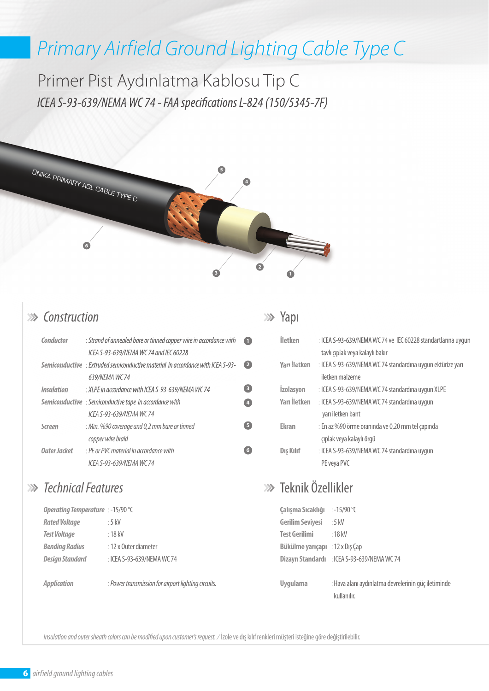# *Primary Airfield Ground Lighting Cable Type C*

Primer Pist Aydınlatma Kablosu Tip C *ICEA S-93-639/NEMA WC 74 - FAA specifications L-824 (150/5345-7F)* 



#### *Construction*

| Conductor         | : Strand of annealed bare or tinned copper wire in accordance with                     | Œ                       |
|-------------------|----------------------------------------------------------------------------------------|-------------------------|
|                   | ICEA S-93-639/NEMA WC 74 and IEC 60228                                                 |                         |
|                   | <b>Semiconductive</b> : Extruded semiconductive material in accordance with ICEA S-93- | 2                       |
|                   | 639/NEMA WC74                                                                          |                         |
| <b>Insulation</b> | : XLPE in accordance with ICEA S-93-639/NEMA WC 74                                     | $\overline{\mathbf{3}}$ |
|                   | <b>Semiconductive</b> : Semiconductive tape in accordance with                         | $\overline{4}$          |
|                   | ICFA S-93-639/NFMA WC 74                                                               |                         |
| <b>Screen</b>     | : Min. %90 coverage and 0,2 mm bare or tinned                                          | 5 <sup>2</sup>          |
|                   | copper wire braid                                                                      |                         |
| Outer Jacket      | : PE or PVC material in accordance with                                                | 6                       |
|                   | ICFA S-93-639/NFMA WC 74                                                               |                         |

### *Technical Features*

| Operating Temperature : -15/90 °C |                            |  |  |  |
|-----------------------------------|----------------------------|--|--|--|
| <b>Rated Voltage</b>              | : 5 kV                     |  |  |  |
| <b>Test Voltage</b>               | $:18$ kV                   |  |  |  |
| <b>Bending Radius</b>             | : 12 x Outer diameter      |  |  |  |
| <b>Design Standard</b>            | : ICEA S-93-639/NEMA WC 74 |  |  |  |
|                                   |                            |  |  |  |

:

*Application* 

*Power transmission for airport lighting circuits.* 

#### **>>>** Yapı

| <b>İletken</b>      | : ICEA S-93-639/NEMA WC 74 ve IEC 60228 standartlarına uygun |
|---------------------|--------------------------------------------------------------|
|                     | tavlı çıplak veya kalaylı bakır                              |
| Yarı İletken        | : ICEA S-93-639/NEMA WC 74 standardına uygun ektürize yarı   |
|                     | iletken malzeme                                              |
| <b>Izolasyon</b>    | : ICEA S-93-639/NEMA WC 74 standardına uygun XLPE            |
| <b>Yarı</b> İletken | : ICEA S-93-639/NEMA WC 74 standardına uygun                 |
|                     | yarı iletken bant                                            |
| <b>Ekran</b>        | : En az %90 örme oranında ve 0,20 mm tel çapında             |
|                     | çıplak veya kalaylı örgü                                     |
| Dış Kılıf           | : ICEA S-93-639/NEMA WC 74 standardina uygun                 |
|                     | PE veya PVC                                                  |
|                     |                                                              |

## Teknik Özellikler

| Çalışma Sıcaklığı       | :-15/90 $\degree$ C                         |
|-------------------------|---------------------------------------------|
| <b>Gerilim Seviyesi</b> | $:5$ kV                                     |
| <b>Test Gerilimi</b>    | :18kV                                       |
| Bükülme yarıçapı        | : $12 \times$ Dis Cap                       |
|                         | Dizayn Standardı : ICEA S-93-639/NEMA WC 74 |
|                         |                                             |
| <b>Uygulama</b>         | : Hava alanı aydınlatma devrelerinin güç    |

: Hava alanı aydınlatma devrelerinin güç iletiminde kullanılır.

*Insulation and outer sheath colors can be modi ed upon customer's request. /* İzole ve dış kılıf renkleri müşteri isteğine göre değiştirilebilir.